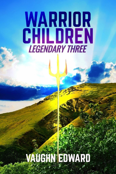# WARRIOR **CHILDREN LEGENDARY THREE**

# **VAUGHN EDWARD**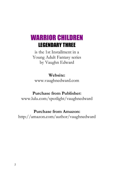## WARRIOR CHILDREN LEGENDARY THREE

is the 1st Installment in a Young Adult Fantasy series by Vaughn Edward

**Website:** www.vaughnedward.com

## **Purchase from Publisher:**

www.lulu.com/spotlight/vaughnedward

### **Purchase from Amazon:**

http://amazon.com/author/vaughnedward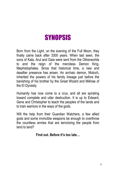# **SYNOPSIS**

Born from the Light, on the evening of the Full Moon, they finally came back after 3300 years. When last seen, the sons of Kala, Arul and Gaia were sent from the Otherworlds to end the reign of the merciless Demon King, Mephistopheles. Since that historical time, a new and deadlier presence has arisen. An archaic demon, Moloch, inherited the powers of his family lineage just before the banishing of his brother by the Great Wizard and Mikhae of the El Dynasty.

Humanity has now come to a crux, and all are spiraling toward complete and utter destruction. It is up to Edward, Gene and Christopher to teach the peoples of the lands and to train warriors in the ways of the gods.

Will the help from their Guardian Watchers, a few allied gods and some invincible weapons be enough to overthrow the countless armies that are terrorizing the people from land to land?

**Find out. Before it's too late…**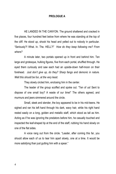### **PROLOGUE A**

HE LANDED IN THE CANYON. The ground shattered and cracked in five places, four hundred feet below from where he was standing at the top of the cliff. He stood up, shook his head and yelled out to nobody in particular. "Seriously?! What. In. The. HELL?!" *How do they keep following me? From where?*

A minute later, two portals opened up in front and behind him. Ten large and grotesque, hulking figures, five from each portal, shuffled through. He eyed them curiously and saw each had an upside-down half-moon on their forehead. *Just don't give up, do they? Sharp fangs and demonic in nature. Well this should be fun, at the very least.*

They slowly circled him, enclosing him in the center.

The leader of the group scoffed and spoke out. "Ten of us! Sent to dispose of one small boy? A waste of our time!" The others agreed, and murmurs and jeers simmered around the circle.

Small, sleek and slender, the boy appeared to be in his mid-teens. He sighed and ran his left hand through his dark, wavy hair, while his right hand rested easily on a long, golden and metallic staff, which stood as tall as him. Acting as if he was ignoring the predators before him, he casually touched and inspected the leaf-shaped tip at the end of the staff, rubbing his hand slowly on one of the flat sides.

A voice rang out from the circle. "Leader, after coming this far, you should allow each of us to tear him apart slowly, one at a time. It would be more satisfying than just gutting him with a spear."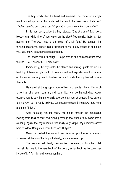The boy slowly lifted his head and sneered. The corner of his right mouth curled up into a thin smile. All that could be heard was, "Heh heh". *Maybe I can find out more about this portal, if I can draw a few more out of it.*

In his most cocky voice, the boy retorted, "One at a time? Each get a bloody turn, while nine of you watch on the side? Technically, that's still ten against one. The way I see it, ain't much of a fair fight." He paused. "I'm thinking, maybe you should call a few more of your pretty friends to come join you. You know, to even the odds a little bit?"

The leader yelled. "Enough!" He pointed to one of his followers down the line. "Get it over with! Kill him, now!"

Immediately, the boy shifted his stance and sprang up into the air in a back flip. A beam of light shot out from his staff and exploded one foot in front of the leader, causing him to tumble backward, while the boy landed outside the circle.

He stared at the group in front of him and taunted them. "I'm much faster than all of you. I can run, and I can hide. I can do this ALL day. I would even venture to say, I am physically stronger than your strongest. If you care to test me? Ah, but I already told you. Let's even the odds. Bring a few more here, and then I'll fight."

After pursuing him for nearly two hours through the mountains, leaping from rock to rock and running through the woods, they came into a clearing. Again, the boy repeated, "It's really very simple. My directions aren't hard to follow. Bring a few more here, and I'll fight."

Clearly frustrated, the leader threw his arms up in the air in rage and screamed at the top of his lungs. Instantly, a portal opened up.

The boy watched intently. He saw five more emerging from the portal. He set his gaze to the very back of the portal, as far back as he could see inside of it. A familiar feeling set upon him.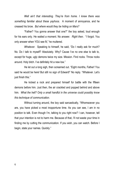*Well ain't that interesting. They're from home. I knew there was something familiar about these yayhoos.* A moment of annoyance, and he creased his brow. *But where would they be hiding on Mars?*

"Father? You gonna answer that one?" the boy asked, loud enough for his ears only. He waited a moment. No answer. *Right then.* "I forgot. You only answer when YOU see fit," he muttered.

*Whatever.* Speaking to himself, he said, "Do I really ask for much? No. Do I talk to myself? Absolutely. Why? Cause I've no one else to talk to, except for huge, ugly demons twice my size. Mission. Find rocks. Throw rocks around. Holy bitch. I've definitely hit a new low."

He let out a long sigh, then screamed out. "Eight months, Father! You said he would be here! But still no sign of Edward!" No reply. "Whatever. Let's just finish this."

He kicked a rock and prepared himself for battle with the fifteen demons before him. Just then, the air crackled and popped behind and above him. *What the hell? Only a small handful in the universe could possibly know this technique of communication.*

Without turning around, the boy said sarcastically, "Whomsoever you are, you have picked a most inopportune time. As you can see, I am in no position to talk. Even though I'm, talking to you right now? I can, however, tell that your intention is not to harm me. Because of that, I'll not waste your time in finding me by cutting the communication. If you wish, you can watch. Before I begin, state your names. Quickly."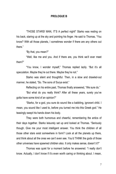### **PROLOGUE B**

"THOSE STARS! MAN, IT'S A perfect night!" Starko was resting on his back, staring up at the sky and pointing his finger. He said to Thomas, "You know? With all those planets, I sometimes wonder if there are any others out there."

"By that, you mean?"

"Well, like me and you. And if there are, you think we'll ever meet them?"

"You know, I wonder myself," Thomas replied lazily. "But it's all speculation. Maybe they're out there. Maybe they're not."

Starko was silent and thoughtful. Then, in a slow and drawled-out manner, he stated, "So. The sons of Surya exist."

Reflecting on his entire past, Thomas finally answered, "We sure do."

"But what do you really think? After all these years, surely you've gotta have some kind of an opinion?"

"Starko, for a god, you sure do sound like a babbling, ignorant child. I mean, you sound like I used to, before you turned me into this Greek god." He teasingly swept his hands down his body.

They were both humorous and cheerful, remembering the antics of their days together. Starko leisurely sat up and looked at Thomas. "Seriously though. Give me your most intelligent answer. You think the children of all those other stars exist somewhere in form? Look at all the planets up there, and think about all the ones we can't even see. You'd THINK the gods of those other universes have spawned children also. It only makes sense, doesn't it?"

Thomas was quiet for a moment before he answered. "I really don't know. Actually, I don't know if it's even worth caring or thinking about. I mean,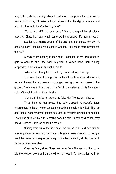maybe the gods are making babies. I don't know. I suppose if the Otherworlds wants us to know, it'll make us know. Wouldn't that be slightly arrogant and moronic of us to think we're the only ones?"

"Maybe we ARE the only ones." Starko shrugged his shoulders casually. "Okay, fine. I can remain content with that answer. For now, at least."

Suddenly, a blazing stream of fire and light shot across the sky. "A shooting star?" Starko's eyes bulged in wonder. "How much more perfect can this get?!"

A straight line soaring to their right, it changed colors, from green to gold to white to blue, and back to green. It slowed down, until it hung suspended in mid-air for nearly half a minute.

"What in the blazing hell?" Startled, Thomas slowly stood up.

The colorful star discharged with a blast from its suspended state and traveled toward the left, before it zigzagged, racing closer and closer to the ground. There was a big explosion in a field in the distance. Lights from every color of the rainbow lit up the night sky.

"Come on!" Starko ran toward the field, with Thomas at his heels.

Three hundred feet away, they both stopped. A powerful force reverberated in the air, which caused their bodies to tingle wildly. Both Thomas and Starko were rendered speechless, and all thoughts dwindled to nothing. There was but a single hum, vibrating from the field. In both their minds, they heard, "Sons of Surya, an honor it is for me."

Striding from out of the field came the outline of a small boy with an aura of pure white, reaching thirty feet in length in every direction. In his right hand, he carried a three-pronged weapon, five feet in length, which shined with its own aura of pure silver.

When he finally stood fifteen feet away from Thomas and Starko, he laid the weapon down and simply fell to his knees in full prostration, with his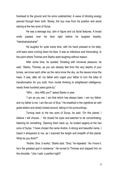forehead to the ground and his arms outstretched. A wave of blinding energy pierced through them both. Slowly, the boy rose from his position and stood staring at the two sons of Surya.

He was a teenage boy, slim in figure and cut facial features. A broad smile passed over his face right before he laughed heartily. "Hahahahahahaha!"

He laughed for quite some time, with his hand pressed to his belly, until tears were running down his face. It was so infectious and intoxicating, to the point where Thomas and Starko were laughing without reason.

After some time, he quieted. Dictating with immense pleasure, he said, "Starko, Thomas, as you can already feel from the very depths of your bones, we know each other as the rains know the sky, as the leaves know the trees. It was, after all, my father who urged your father to turn the tides of transformation for you both, from mortal thinking to enlightened intelligence, nearly three hundred years gone by."

"Who… who ARE you?" asked Starko in awe.

"I am as you are. I am that which has always been. I am my father, and my father is me. I am the son of Siva." He breathed in the nighttime air with great elation and slowly looked around, taking in his surroundings.

Turning back to the two sons of Surya, he said, "On this planet, I believe I will choose…" He closed his eyes and seemed to be concentrating, listening for something. Opening them back up, he looked eagerly at the two sons of Surya. "I have chosen the name Andrei. A strong and beautiful name, I heard it whispered to me, as I scanned the length and breadth of this planet. What do you think?"

"Andrei. Siva. It works," Starko said. "Siva," he repeated. "As I know it, he's the greatest god in existence." He turned to Thomas and slapped him on the shoulder. "Like I said, a perfect night!"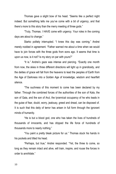Thomas gave a slight bow of his head. "Seems like a perfect night indeed. But something tells me you've come with a bit of urgency, and that there's more to this story than the merry meeting of three gods."

"Truly, Thomas. I HAVE come with urgency. Your roles in the coming days are about to change."

Starko politely interrupted. "I knew this day was coming." Andrei merely nodded in agreement. "Father warned me about a time when we would have to join forces with the three gods from eons ago. It seems that time is upon us now, is it not? Is my story on par with yours?"

"It is." Andrei's gaze was intense and piercing. "Exactly one month from now, the skies in three different directions will light up in grandiosity, and the deities of grace will fall from the heavens to lead the peoples of Earth from the Age of Darkness into a Golden Age of knowledge, wisdom and heartfelt silence.

"The suchness of this moment to come has been declared by my father. Through the combined forces of the authorities of the son of Kala, the son of Gaia, and the son of Arul, the tyrannical occupancy of he who leads in the guise of fear, doubt, worry, jealousy, greed and dread, can be disposed of. It is such that this deity of terror has arisen in full form through the ignorant minds of humanity.

"He is but a blood god, one who has taken the lives of hundreds of thousands of innocents, and has dripped the life force of hundreds of thousands more to nearly nothing."

"You paint a pretty bleak picture for us." Thomas stuck his hands in his pockets and tilted his head.

"Perhaps, but true," Andrei responded. "Yet, the three to come, so long as they remain intact and alive, will train, inspire, and rouse the forces in order to annihilate."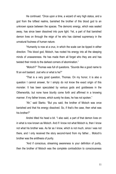He continued. "Once upon a time, a wizard of very high status, and a god from the loftiest realms, banished the brother of this blood god to an unknown space between the spaces. The demonic energy, which was sealed away, has since been dissolved into pure light. Yet, a part of that banished demon lives on through the reign of he who has claimed supremacy in the unnatural foulness of human nature.

"Humanity is now at a crux, in which the scale can be tipped in either direction. This blood god, Moloch, has rooted his energy into all the sleeping minds of unawareness. He has made them all forget who they are and has twisted their minds to the darkest corners of abomination."

"Moloch?" Thomas was full of questions. "Sounds like a good name to fit an evil bastard. Just who or what is he?"

"That is a very good question, Thomas. On my honor, it is also a question I cannot answer, for I simply do not know the exact origin of this monster. It has been speculated by various gods and goddesses in the Otherworlds, but none have bluntly come forth and affirmed in a knowing manner. If my father knows, which surely he does, he has not spoken."

"Ah," said Starko. "But you said, the brother of Moloch was once banished and that his energy dissolved. So, if that's the case, then what was his brother?"

Andrei tilted his head a bit. "I also said, a part of that demon lives on in what is now known as Moloch. And if I know not what Moloch is, then I know not what his brother was. As far as I know, which is not much, since I was not there, and I only received the story second-hand from my father… Moloch's brother was the antithesis of purity.

"And if conscious, streaming awareness is your definition of purity, then the brother of Moloch was the complete contradiction to consciousness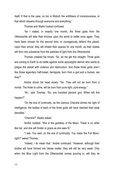itself. If that is the case, so too is Moloch the antithesis of consciousness, or that which streams through everyone and everything."

Thomas and Starko looked confused.

"As I stated, in exactly one month, the three gods from the Otherworlds will take their thrones upon the world to battle once again. They have been chosen for the second time, to courageously defend this planet. Upon their arrival, they will inhabit their spaces for one month, as their bodies will form into substance from the particles of light from the Otherworlds.

Thomas creased his brows. "So, let me get this straight. Three gods are coming to Earth to do battle against some apocalyptic demon who wants to plague the planet with violence and destruction. And these three gods aren't like those legendary half-breed, demigods, born from a god and a human, are they?"

Andrei shook his head slowly. "No. They will not be born from a mortal. The three to come, will be born from pure light, pure energy."

"Ah," said Thomas. "So, one hundred percent god. When will this happen?"

"On the eve of luminosity, as the lustrous Chandra shines her light of intelligence, the bodies of each of the three gods will have reached their peak densities."

"Chandra?" Starko asked.

Andrei nodded. "She is the goddess of the Moon. There is no other like her, and she will hinder or grace as she sees fit."

"I see. You said, on the eve of luminosity. You mean the Full Moon, right?" asked Thomas.

"Indeed, I do mean that." Andrei continued. "However, although their bodies will have formed into dense matter, they will still be very weak. Only when the Blue Light from the Otherworlds comes pouring in, will they be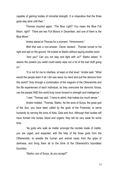capable of gaining bodies of immortal strength. It is imperative that the three gods stay alive until then."

Thomas inquired again. "The Blue Light? You mean the Blue Full Moon, right? There are two Full Moons in December, and one of them is the Blue Moon."

Andrei stared at Thomas for a moment. "Hmmmmmm."

*Well that was a non-answer. Clever bastard.* Thomas turned to his right and spit on the ground. He looked at Starko without saying another word.

"And you? Can you not stay and fight with us?" Starko asked. "It seems the powers you wield could easily wipe out a lot of the bad stuff going on."

"It is not for me to interfere, at least on that level," Andrei said. "What would the people learn if all I did was wave my hand and pull the demons from this world? Only through a combination of the magicks of the Otherworlds and the life experiences of each individual, as they overcome the demonic forces, can the people AND this world truly move forward in strength and intelligence."

"I see," Thomas said. "I have to admit, that makes too much sense."

Andrei nodded. "Thomas. Starko. As the sons of Surya, the great god of the Sun, you have been called by the gods of the Foremost, to serve humanity by serving the sons of Kala, Gaia and Arul. Although their bodies will have formed into bones, blood and organs, they will be very weak for some time.

"As gods who walk as matter amongst the mortals made of matter, you are urged, and expected, with the help of the three gods from the Otherworlds, to wrestle the human and animal races from the grips of darkness, and bring them all to the brink of the Otherworld's boundless boundary.

"Starko, son of Surya, do you accept?"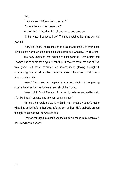"l do."

"Thomas, son of Surya, do you accept?"

"Sounds like no other choice, huh?"

Andrei tilted his head a slight bit and raised one eyebrow.

"In that case, I suppose I do." Thomas stretched his arms out and yawned.

"Very well, then." Again, the son of Siva bowed heartily to them both. "My time has now drawn to a close. I must bid farewell. One day, I shall return."

His body exploded into millions of light particles. Both Starko and Thomas had to shield their eyes. When they uncovered them, the son of Siva was gone, but there remained an incandescent glowing throughout. Surrounding them in all directions were the most colorful roses and flowers from every species.

"Wow!" Starko was in complete amazement, staring at the glowing orbs in the air and all the flowers strewn about the ground.

"Wow is right," said Thomas. "But wow, did he have a way with words. I felt like I was in an airy, fairy tale from centuries ago."

"I'm sure he rarely makes it to Earth, so it probably doesn't matter what time-period he's in. Besides, he's the son of Siva. He's probably earned the right to talk however he wants to talk."

Thomas shrugged his shoulders and stuck his hands in his pockets. "I can live with that answer."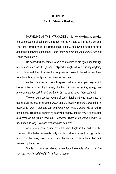### **CHAPTER 1 Part I: Edward's Dwelling**

MARVELING AT THE INTRICACIES of his new dwelling, he smelled the damp stench of soil poking through the rocky floor, as it filled his senses. The light flickered once. It flickered again. Faintly, he saw the outline of rocks and insects crawling upon them. *I don't think I'll ever get used to this. How am I even seeing this?*

He passed what seemed to be a faint outline of his right hand through his stomach area, and he gasped. It slipped through, without touching anything solid. He looked down to where his body was supposed to be. All he could see was the pulsing violet light in the center of his chest.

As the hours passed, the light spread, following small pathways which looked to be veins running in every direction. *If I am seeing this, surely, then my eyes have formed. I smell the Earth, but my body doesn't feel solid yet.*

Twelve hours passed. Aware of every detail as it was happening, he heard slight echoes of dripping water and the bugs which were swarming in every which way. *I can now see, smell and hear. What a grace.* He turned his head in the direction of something scurrying nearby, and he saw a faint outline of a small animal with a long tail. *Goodness. What in the world is that? I've been gone so long. So much evolution has occurred.*

After seven more hours, he felt a small tingle in the middle of his forehead. This lasted for nearly thirty minutes before it spread throughout his body. First his toes, then his groin and the bottom of his tailbone, before it traveled up his spine.

Startled at these sensations, he was forced to emote. *Four of my five senses. I won't need the fifth for at least a month.*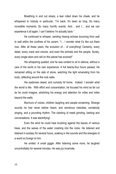Breathing in and out slowly, a tear rolled down his cheek, and he whispered to nobody in particular, "I'm back. It's been so long. So many incredible moments. So many horrific events. And… and I… and we can experience it all again. I can't believe I'm actually back."

He continued to whisper, sending hissing echoes bouncing from wall to wall within the confines of his cavern. "I… I wonder what it's like out there now. After all these years, the evolution of… of everything! Certainly, every detail, every crack and crevice, and even the animals and the people. Surely, every single atom and cell on this planet has evolved!"

His whispering quieted, and he was content to sit in silence, without a care of the world or his own experience. A full twenty-four hours passed. He remained sitting on the slab of stone, watching the light emanating from his body, reflecting around the rock walls.

His eyebrows raised, and curiosity hit home. *Indeed. I wonder what the world is like.* With effort and concentration, he focused his mind as far out as he could imagine, stretching his energy and attention for miles and miles beyond the walls.

Murmurs of voices, children laughing and people screaming. Strange sounds he had never before heard, and wondrous melodies, somebody singing, and a pounding rhythm. The clanking of metal grinding, barking and conversations. It was electrifying!

Even the wind he could hear brushing against the leaves of various trees, and the waves of the water crashing into the rocks. He listened and listened in ecstasy for several hours, soaking in the sounds and the energies of a world so foreign to him.

He smiled. A small giggle. After listening some more, he laughed uncontrollably for several minutes. He was joy incarnate.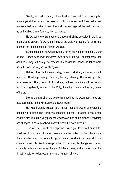Slowly, he tried to stand, but wobbled a bit and fell down. Pushing his arms against the ground, he rose up onto his knees and breathed a few moments before crawling toward the wall. Leaning against the wall, he stood up and walked slowly forward, then backward.

He walked the entire span of the room which he occupied in the large underground cavern, following the lining of the wall. He made a full circle and reached the spot he had first started walking.

Eyeing the stone he was previously sitting on, he took one step. *I can do this. I don't need that god-damn wall to hold me up.* Another step, and another. Slowly but surely, he reached his destination. When he fell forward upon the rock, he laughed wildly again.

Halfway through the second day, he was still sitting in the same spot, unmoved. Breathing, seeing, smelling, feeling, listening. The smile upon his face never left. Then, from out of nowhere, he heard a voice as if the person was standing directly in front of him. Only, the voice came from the very center of his brain.

Low and entrancing, the voice streamed into his awareness. "You are now acclimated to the vibration of the Earth realm."

He was instantly placed in a trance, but still aware of everything happening. "Father! The Earth has accepted me well. I breathe. I see. I feel. And this dirt! The dirt is very pungent. And the sounds of this planet! Everything has changed. It has all evolved. I can't believe the world I live in!"

"Son of Time, much has happened since you last dwelt amidst the shadows of this planet. As time passes, it is a law willed by the Otherworlds, that all matter must change. As thoughts change, the atomic nature of all things change, causing bodies to change. When those thoughts change and the old concepts collapse, structures change. Buildings, trees, and all races, from the tiniest insects to the largest animals and humans, change."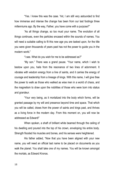"Yes. I knew this was the case. Yet, I am still very astounded to find how immense and intense the change has been from our last footings three millenniums ago. By the way, Father, you have come with a purpose?"

"As all things change, so too must your name. The evolution of all things continues, even the particles encased within the sounds of names. You will need a suitable calling to fit this new age you are tasked upon, for the title you were given thousands of years past has not the power to guide you in the modern world."

"I see. What do you wish for me to be addressed as?"

"My son." There was a grand pause. "Your name, which I wish to bestow upon you, hails from the resonance of two lines of adornment. It vibrates with wisdom energy from a line of saints, and it carries the energy of courage and leadership from a lineage of kings. With this name, I will give thee the power to walk as those who walked as wise men in a world of chaos, and the magnetism to draw upon the nobilities of those who were born into status and grandeur.

"Your very being, as it mortalized into the body which forms, will be granted passage by my will and presence beyond time and space. That which you will be called, draws from the power of saints and kings past, and thrives as a living force in the modern day. From this moment on, you will now be addressed as Edward!"

When spoken, a shaft of brilliant white beamed through the ceiling of his dwelling and poured into the top of his crown, enveloping his entire body. Strength flooded his muscles and bones, and his senses were heightened.

His father added, "Now that you have been aligned with your new name, you will need an official last name to be placed on documents as you walk the planet. You shall take one of my names. You will be known amongst the mortals, as Edward Kronos.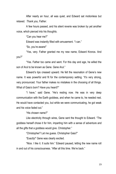After nearly an hour, all was quiet, and Edward sat motionless but relaxed. *Thank you, Father.*

A few hours passed, and his silent reverie was broken by yet another voice, which pierced into his thoughts.

"Can you hear me?"

Edward was instantly filled with amusement. "I can."

"So, you're aware!"

"Yes, very. Father granted me my new name, Edward Kronos. And you?"

"Yes. Father too came and went. For this day and age, he willed the son of Arul to be known as Gene. Gene Arul."

Edward's lips creased upward. He felt the resonation of Gene's new name. It was powerful and fit for the contemporary setting. "It's very strong, very pronounced. Your father makes no mistakes in the choosing of all things. What of Gaia's born? Have you heard?"

"I have," said Gene. "He's resting now. He was in very deep communication with the Earth goddess, and when he came to, he needed rest. He would have contacted you, but while we were communicating, he got weak and his voice faded out."

"His chosen name?"

Like electricity through wires, Gene sent the thought to Edward. "The goddess herself chose it for him, imparting him with a sense of adventure and all the gifts that a goddess would give. Christopher."

"Christopher? Let me guess. Christopher Gaia?"

"Exactly!" Gene was clearly excited.

"Nice. I like it. It suits him." Edward paused, letting the new name roll in and out of his consciousness. "After all this time. We're back."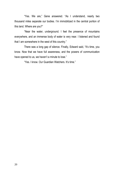"Yes. We are," Gene answered. "As I understand, nearly two thousand miles separate our bodies. I'm immobilized in the central portion of this land. Where are you?"

"Near the water, underground. I feel the presence of mountains everywhere, and an immense body of water is very near. I listened and found that I am somewhere in the west of this country."

There was a long gap of silence. Finally, Edward said, "It's time, you know. Now that we have full awareness, and the powers of communication have opened to us, we haven't a minute to lose."

"Yes. I know. Our Guardian Watchers. It's time."